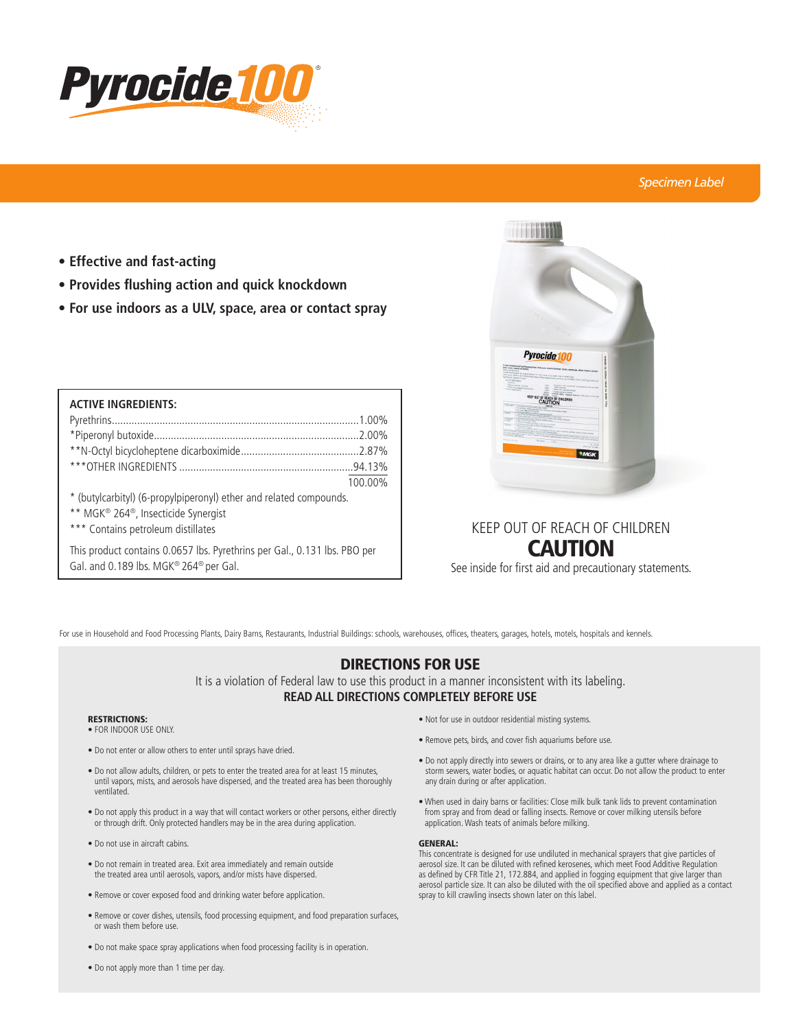

## *Specimen Label*

- **Effective and fast-acting**
- **Provides flushing action and quick knockdown**
- **For use indoors as a ULV, space, area or contact spray**

| <b>ACTIVE INGREDIENTS:</b>                                         |         |
|--------------------------------------------------------------------|---------|
|                                                                    |         |
|                                                                    |         |
|                                                                    |         |
|                                                                    |         |
|                                                                    | 100.00% |
| * (butylcarbityl) (6-propylpiperonyl) ether and related compounds. |         |
| ** MGK <sup>®</sup> 264 <sup>®</sup> , Insecticide Synergist       |         |

\*\*\* Contains petroleum distillates

This product contains 0.0657 lbs. Pyrethrins per Gal., 0.131 lbs. PBO per Gal. and 0.189 lbs. MGK® 264® per Gal.



# KEEP OUT OF REACH OF CHILDREN CAUTION

See inside for first aid and precautionary statements.

For use in Household and Food Processing Plants, Dairy Barns, Restaurants, Industrial Buildings: schools, warehouses, offices, theaters, garages, hotels, motels, hospitals and kennels.

## DIRECTIONS FOR USE

It is a violation of Federal law to use this product in a manner inconsistent with its labeling. **READ ALL DIRECTIONS COMPLETELY BEFORE USE**

### RESTRICTIONS:

- FOR INDOOR USE ONLY.
- Do not enter or allow others to enter until sprays have dried.
- Do not allow adults, children, or pets to enter the treated area for at least 15 minutes, until vapors, mists, and aerosols have dispersed, and the treated area has been thoroughly ventilated.
- Do not apply this product in a way that will contact workers or other persons, either directly or through drift. Only protected handlers may be in the area during application.
- Do not use in aircraft cabins.
- Do not remain in treated area. Exit area immediately and remain outside the treated area until aerosols, vapors, and/or mists have dispersed.
- Remove or cover exposed food and drinking water before application.
- Remove or cover dishes, utensils, food processing equipment, and food preparation surfaces, or wash them before use.
- Do not make space spray applications when food processing facility is in operation.
- Not for use in outdoor residential misting systems.
- Remove pets, birds, and cover fish aquariums before use.
- Do not apply directly into sewers or drains, or to any area like a gutter where drainage to storm sewers, water bodies, or aquatic habitat can occur. Do not allow the product to enter any drain during or after application.
- When used in dairy barns or facilities: Close milk bulk tank lids to prevent contamination from spray and from dead or falling insects. Remove or cover milking utensils before application. Wash teats of animals before milking.

#### GENERAL:

This concentrate is designed for use undiluted in mechanical sprayers that give particles of aerosol size. It can be diluted with refined kerosenes, which meet Food Additive Regulation as defined by CFR Title 21, 172.884, and applied in fogging equipment that give larger than aerosol particle size. It can also be diluted with the oil specified above and applied as a contact spray to kill crawling insects shown later on this label.

• Do not apply more than 1 time per day.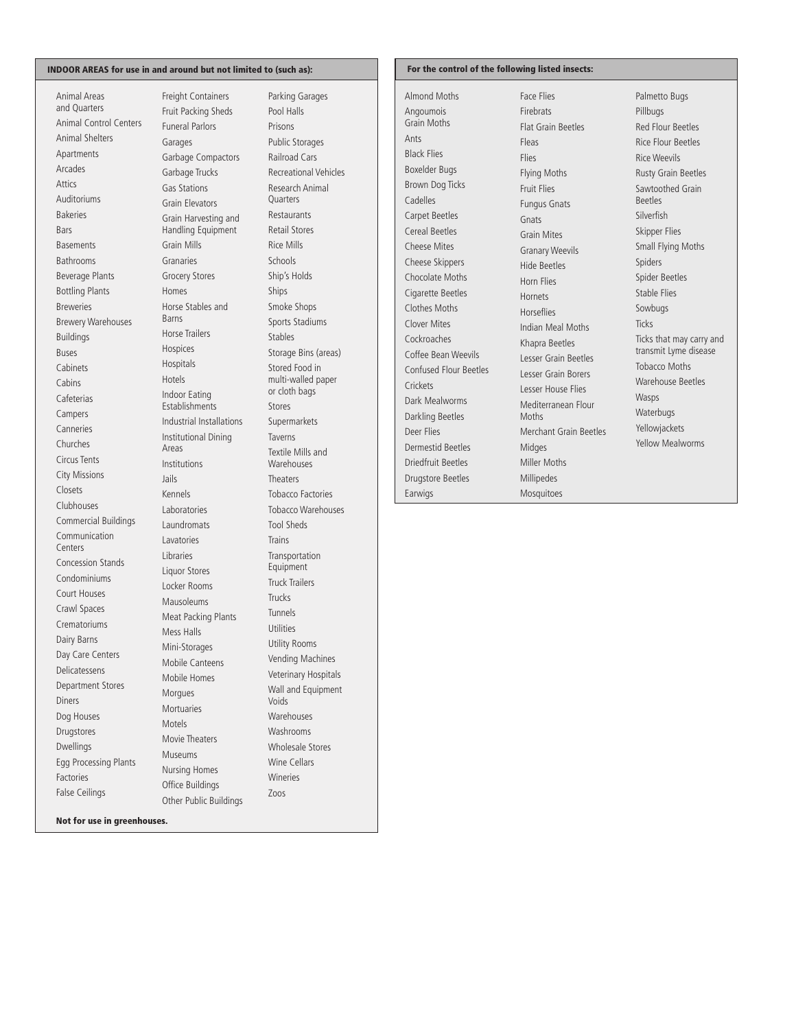### INDOOR AREAS for use in and around but not limited to (such as):

Animal Areas and Quarters Animal Control Centers Animal Shelters Apartments Arcades Attics Auditoriums Bakeries Bars Basements Bathrooms Beverage Plants Bottling Plants Breweries Brewery Warehouses Buildings Buses Cabinets Cabins Cafeterias Campers Canneries Churches Circus Tents City Missions Closets Clubhouses Commercial Buildings Communication Centers Concession Stands Condominiums Court Houses Crawl Spaces Crematoriums Dairy Barns Day Care Centers Delicatessens Department Stores Diners Dog Houses Drugstores Dwellings Egg Processing Plants Factories False Ceilings

Freight Containers Fruit Packing Sheds Funeral Parlors Garages Garbage Compactors Garbage Trucks Gas Stations Grain Elevators Grain Harvesting and Handling Equipment Grain Mills **Granaries** Grocery Stores Homes Horse Stables and Barns Horse Trailers Hospices Hospitals Hotels Indoor Eating Establishments Industrial Installations Institutional Dining Areas Institutions Jails Kennels Laboratories **Laundromats** Lavatories Libraries Liquor Stores Locker Rooms Mausoleums Meat Packing Plants Mess Halls Mini-Storages Mobile Canteens Mobile Homes Morgues Mortuaries Motels Movie Theaters Museums Nursing Homes Office Buildings Other Public Buildings

Parking Garages Pool Halls Prisons Public Storages Railroad Cars Recreational Vehicles Research Animal **Quarters** Restaurants Retail Stores Rice Mills Schools Ship's Holds Ships Smoke Shops Sports Stadiums Stables Storage Bins (areas) Stored Food in multi-walled paper or cloth bags Stores Supermarkets Taverns Textile Mills and **Warehouses Theaters** Tobacco Factories Tobacco Warehouses Tool Sheds Trains Transportation Equipment Truck Trailers Trucks Tunnels **Utilities** Utility Rooms Vending Machines Veterinary Hospitals Wall and Equipment Voids **Warehouses** Washrooms Wholesale Stores Wine Cellars Wineries Zoos

### For the control of the following listed insects:

Almond Moths Angoumois Grain Moths Ants Black Flies Boxelder Bugs Brown Dog Ticks Cadelles Carpet Beetles Cereal Beetles Cheese Mites Cheese Skippers Chocolate Moths Cigarette Beetles Clothes Moths Clover Mites Cockroaches Coffee Bean Weevils Confused Flour Beetles **Crickets** Dark Mealworms Darkling Beetles Deer Flies Dermestid Beetles Driedfruit Beetles Drugstore Beetles Earwigs

Face Flies Firebrats Flat Grain Beetles Fleas Flies Flying Moths Fruit Flies Fungus Gnats Gnats Grain Mites Granary Weevils Hide Beetles Horn Flies Hornets Horseflies Indian Meal Moths Khapra Beetles Lesser Grain Beetles Lesser Grain Borers Lesser House Flies Mediterranean Flour Moths Merchant Grain Beetles Midges Miller Moths Millipedes Mosquitoes

Palmetto Bugs Pillbugs Red Flour Beetles Rice Flour Beetles Rice Weevils Rusty Grain Beetles Sawtoothed Grain Beetles Silverfish Skipper Flies Small Flying Moths Spiders Spider Beetles Stable Flies Sowbugs **Ticks** Ticks that may carry and transmit Lyme disease Tobacco Moths Warehouse Beetles Wasps **Waterbugs** Yellowjackets Yellow Mealworms

Not for use in greenhouses.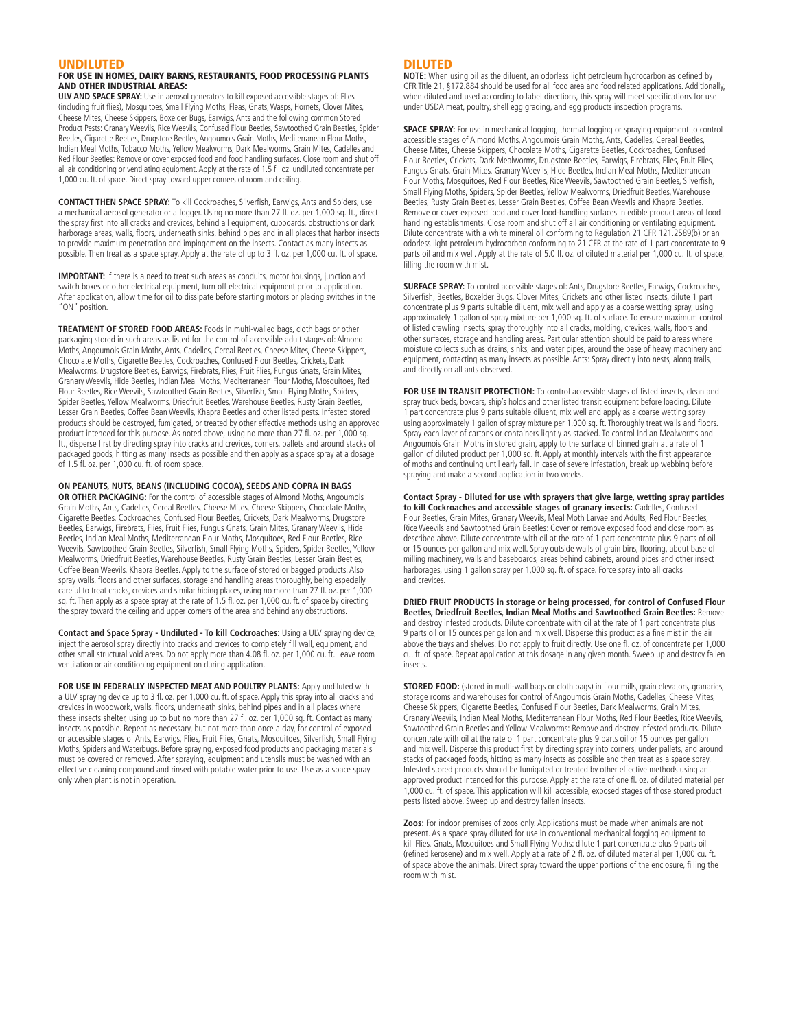### UNDILUTED

### FOR USE IN HOMES, DAIRY BARNS, RESTAURANTS, FOOD PROCESSING PLANTS AND OTHER INDUSTRIAL AREAS:

**ULV AND SPACE SPRAY:** Use in aerosol generators to kill exposed accessible stages of: Flies (including fruit flies), Mosquitoes, Small Flying Moths, Fleas, Gnats, Wasps, Hornets, Clover Mites, Cheese Mites, Cheese Skippers, Boxelder Bugs, Earwigs, Ants and the following common Stored Product Pests: Granary Weevils, Rice Weevils, Confused Flour Beetles, Sawtoothed Grain Beetles, Spider Beetles, Cigarette Beetles, Drugstore Beetles, Angoumois Grain Moths, Mediterranean Flour Moths, Indian Meal Moths, Tobacco Moths, Yellow Mealworms, Dark Mealworms, Grain Mites, Cadelles and Red Flour Beetles: Remove or cover exposed food and food handling surfaces. Close room and shut off all air conditioning or ventilating equipment. Apply at the rate of 1.5 fl. oz. undiluted concentrate per 1,000 cu. ft. of space. Direct spray toward upper corners of room and ceiling.

**CONTACT THEN SPACE SPRAY:** To kill Cockroaches, Silverfish, Earwigs, Ants and Spiders, use a mechanical aerosol generator or a fogger. Using no more than 27 fl. oz. per 1,000 sq. ft., direct the spray first into all cracks and crevices, behind all equipment, cupboards, obstructions or dark harborage areas, walls, floors, underneath sinks, behind pipes and in all places that harbor insects to provide maximum penetration and impingement on the insects. Contact as many insects as possible. Then treat as a space spray. Apply at the rate of up to 3 fl. oz. per 1,000 cu. ft. of space.

**IMPORTANT:** If there is a need to treat such areas as conduits, motor housings, junction and switch boxes or other electrical equipment, turn off electrical equipment prior to application. After application, allow time for oil to dissipate before starting motors or placing switches in the "ON" position.

**TREATMENT OF STORED FOOD AREAS:** Foods in multi-walled bags, cloth bags or other packaging stored in such areas as listed for the control of accessible adult stages of: Almond Moths, Angoumois Grain Moths, Ants, Cadelles, Cereal Beetles, Cheese Mites, Cheese Skippers, Chocolate Moths, Cigarette Beetles, Cockroaches, Confused Flour Beetles, Crickets, Dark Mealworms, Drugstore Beetles, Earwigs, Firebrats, Flies, Fruit Flies, Fungus Gnats, Grain Mites, Granary Weevils, Hide Beetles, Indian Meal Moths, Mediterranean Flour Moths, Mosquitoes, Red Flour Beetles, Rice Weevils, Sawtoothed Grain Beetles, Silverfish, Small Flying Moths, Spiders, Spider Beetles, Yellow Mealworms, Driedfruit Beetles, Warehouse Beetles, Rusty Grain Beetles, Lesser Grain Beetles, Coffee Bean Weevils, Khapra Beetles and other listed pests. Infested stored products should be destroyed, fumigated, or treated by other effective methods using an approved product intended for this purpose. As noted above, using no more than 27 fl. oz. per 1,000 sq. ft., disperse first by directing spray into cracks and crevices, corners, pallets and around stacks of packaged goods, hitting as many insects as possible and then apply as a space spray at a dosage of 1.5 fl. oz. per 1,000 cu. ft. of room space.

### **ON PEANUTS, NUTS, BEANS (INCLUDING COCOA), SEEDS AND COPRA IN BAGS**

**OR OTHER PACKAGING:** For the control of accessible stages of Almond Moths, Angoumois Grain Moths, Ants, Cadelles, Cereal Beetles, Cheese Mites, Cheese Skippers, Chocolate Moths, Cigarette Beetles, Cockroaches, Confused Flour Beetles, Crickets, Dark Mealworms, Drugstore Beetles, Earwigs, Firebrats, Flies, Fruit Flies, Fungus Gnats, Grain Mites, Granary Weevils, Hide Beetles, Indian Meal Moths, Mediterranean Flour Moths, Mosquitoes, Red Flour Beetles, Rice Weevils, Sawtoothed Grain Beetles, Silverfish, Small Flying Moths, Spiders, Spider Beetles, Yellow Mealworms, Driedfruit Beetles, Warehouse Beetles, Rusty Grain Beetles, Lesser Grain Beetles, Coffee Bean Weevils, Khapra Beetles. Apply to the surface of stored or bagged products. Also spray walls, floors and other surfaces, storage and handling areas thoroughly, being especially careful to treat cracks, crevices and similar hiding places, using no more than 27 fl. oz. per 1,000 sq. ft. Then apply as a space spray at the rate of 1.5 fl. oz. per 1,000 cu. ft. of space by directing the spray toward the ceiling and upper corners of the area and behind any obstructions.

**Contact and Space Spray - Undiluted - To kill Cockroaches:** Using a ULV spraying device, inject the aerosol spray directly into cracks and crevices to completely fill wall, equipment, and other small structural void areas. Do not apply more than 4.08 fl. oz. per 1,000 cu. ft. Leave room ventilation or air conditioning equipment on during application.

**FOR USE IN FEDERALLY INSPECTED MEAT AND POULTRY PLANTS: Apply undiluted with** a ULV spraying device up to 3 fl. oz. per 1,000 cu. ft. of space. Apply this spray into all cracks and crevices in woodwork, walls, floors, underneath sinks, behind pipes and in all places where these insects shelter, using up to but no more than 27 fl. oz. per 1,000 sq. ft. Contact as many insects as possible. Repeat as necessary, but not more than once a day, for control of exposed or accessible stages of Ants, Earwigs, Flies, Fruit Flies, Gnats, Mosquitoes, Silverfish, Small Flying Moths, Spiders and Waterbugs. Before spraying, exposed food products and packaging materials must be covered or removed. After spraying, equipment and utensils must be washed with an effective cleaning compound and rinsed with potable water prior to use. Use as a space spray only when plant is not in operation.

### DILUTED

**NOTE:** When using oil as the diluent, an odorless light petroleum hydrocarbon as defined by CFR Title 21, §172.884 should be used for all food area and food related applications. Additionally, when diluted and used according to label directions, this spray will meet specifications for use under USDA meat, poultry, shell egg grading, and egg products inspection programs.

**SPACE SPRAY:** For use in mechanical fogging, thermal fogging or spraying equipment to control accessible stages of Almond Moths, Angoumois Grain Moths, Ants, Cadelles, Cereal Beetles, Cheese Mites, Cheese Skippers, Chocolate Moths, Cigarette Beetles, Cockroaches, Confused Flour Beetles, Crickets, Dark Mealworms, Drugstore Beetles, Earwigs, Firebrats, Flies, Fruit Flies, Fungus Gnats, Grain Mites, Granary Weevils, Hide Beetles, Indian Meal Moths, Mediterranean Flour Moths, Mosquitoes, Red Flour Beetles, Rice Weevils, Sawtoothed Grain Beetles, Silverfish, Small Flying Moths, Spiders, Spider Beetles, Yellow Mealworms, Driedfruit Beetles, Warehouse Beetles, Rusty Grain Beetles, Lesser Grain Beetles, Coffee Bean Weevils and Khapra Beetles. Remove or cover exposed food and cover food-handling surfaces in edible product areas of food handling establishments. Close room and shut off all air conditioning or ventilating equipment. Dilute concentrate with a white mineral oil conforming to Regulation 21 CFR 121.2589(b) or an odorless light petroleum hydrocarbon conforming to 21 CFR at the rate of 1 part concentrate to 9 parts oil and mix well. Apply at the rate of 5.0 fl. oz. of diluted material per 1,000 cu. ft. of space, filling the room with mist.

**SURFACE SPRAY:** To control accessible stages of: Ants, Drugstore Beetles, Earwigs, Cockroaches, Silverfish, Beetles, Boxelder Bugs, Clover Mites, Crickets and other listed insects, dilute 1 part concentrate plus 9 parts suitable diluent, mix well and apply as a coarse wetting spray, using approximately 1 gallon of spray mixture per 1,000 sq. ft. of surface. To ensure maximum control of listed crawling insects, spray thoroughly into all cracks, molding, crevices, walls, floors and other surfaces, storage and handling areas. Particular attention should be paid to areas where moisture collects such as drains, sinks, and water pipes, around the base of heavy machinery and equipment, contacting as many insects as possible. Ants: Spray directly into nests, along trails, and directly on all ants observed.

FOR USE IN TRANSIT PROTECTION: To control accessible stages of listed insects, clean and spray truck beds, boxcars, ship's holds and other listed transit equipment before loading. Dilute 1 part concentrate plus 9 parts suitable diluent, mix well and apply as a coarse wetting spray using approximately 1 gallon of spray mixture per 1,000 sq. ft. Thoroughly treat walls and floors. Spray each layer of cartons or containers lightly as stacked. To control Indian Mealworms and Angoumois Grain Moths in stored grain, apply to the surface of binned grain at a rate of 1 gallon of diluted product per 1,000 sq. ft. Apply at monthly intervals with the first appearance of moths and continuing until early fall. In case of severe infestation, break up webbing before spraying and make a second application in two weeks.

**Contact Spray - Diluted for use with sprayers that give large, wetting spray particles to kill Cockroaches and accessible stages of granary insects:** Cadelles, Confused Flour Beetles, Grain Mites, Granary Weevils, Meal Moth Larvae and Adults, Red Flour Beetles, Rice Weevils and Sawtoothed Grain Beetles: Cover or remove exposed food and close room as described above. Dilute concentrate with oil at the rate of 1 part concentrate plus 9 parts of oil or 15 ounces per gallon and mix well. Spray outside walls of grain bins, flooring, about base of milling machinery, walls and baseboards, areas behind cabinets, around pipes and other insect harborages, using 1 gallon spray per 1,000 sq. ft. of space. Force spray into all cracks and crevices.

**DRIED FRUIT PRODUCTS in storage or being processed, for control of Confused Flour Beetles, Driedfruit Beetles, Indian Meal Moths and Sawtoothed Grain Beetles:** Remove and destroy infested products. Dilute concentrate with oil at the rate of 1 part concentrate plus 9 parts oil or 15 ounces per gallon and mix well. Disperse this product as a fine mist in the air above the trays and shelves. Do not apply to fruit directly. Use one fl. oz. of concentrate per 1,000 cu. ft. of space. Repeat application at this dosage in any given month. Sweep up and destroy fallen insects.

**STORED FOOD:** (stored in multi-wall bags or cloth bags) in flour mills, grain elevators, granaries, storage rooms and warehouses for control of Angoumois Grain Moths, Cadelles, Cheese Mites, Cheese Skippers, Cigarette Beetles, Confused Flour Beetles, Dark Mealworms, Grain Mites, Granary Weevils, Indian Meal Moths, Mediterranean Flour Moths, Red Flour Beetles, Rice Weevils, Sawtoothed Grain Beetles and Yellow Mealworms: Remove and destroy infested products. Dilute concentrate with oil at the rate of 1 part concentrate plus 9 parts oil or 15 ounces per gallon and mix well. Disperse this product first by directing spray into corners, under pallets, and around stacks of packaged foods, hitting as many insects as possible and then treat as a space spray. Infested stored products should be fumigated or treated by other effective methods using an approved product intended for this purpose. Apply at the rate of one fl. oz. of diluted material per 1,000 cu. ft. of space. This application will kill accessible, exposed stages of those stored product pests listed above. Sweep up and destroy fallen insects.

**Zoos:** For indoor premises of zoos only. Applications must be made when animals are not present. As a space spray diluted for use in conventional mechanical fogging equipment to kill Flies, Gnats, Mosquitoes and Small Flying Moths: dilute 1 part concentrate plus 9 parts oil (refined kerosene) and mix well. Apply at a rate of 2 fl. oz. of diluted material per 1,000 cu. ft. of space above the animals. Direct spray toward the upper portions of the enclosure, filling the room with mist.